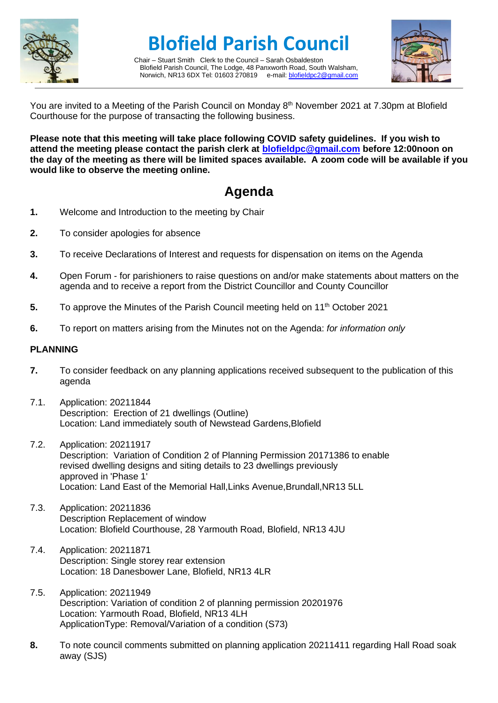

# **Blofield Parish Council**

Chair – Stuart Smith Clerk to the Council – Sarah Osbaldeston Blofield Parish Council, The Lodge, 48 Panxworth Road, South Walsham, Norwich, NR13 6DX Tel: 01603 270819 e-mail: [blofieldpc2@gmail.com](mailto:blofieldpc2@gmail.com)



You are invited to a Meeting of the Parish Council on Monday 8<sup>th</sup> November 2021 at 7.30pm at Blofield Courthouse for the purpose of transacting the following business.

**Please note that this meeting will take place following COVID safety guidelines. If you wish to attend the meeting please contact the parish clerk at [blofieldpc@gmail.com](mailto:blofieldpc@gmail.com) before 12:00noon on the day of the meeting as there will be limited spaces available. A zoom code will be available if you would like to observe the meeting online.** 

# **Agenda**

- **1.** Welcome and Introduction to the meeting by Chair
- **2.** To consider apologies for absence
- **3.** To receive Declarations of Interest and requests for dispensation on items on the Agenda
- **4.** Open Forum for parishioners to raise questions on and/or make statements about matters on the agenda and to receive a report from the District Councillor and County Councillor
- **5.** To approve the Minutes of the Parish Council meeting held on 11<sup>th</sup> October 2021
- **6.** To report on matters arising from the Minutes not on the Agenda: *for information only*

#### **PLANNING**

- **7.** To consider feedback on any planning applications received subsequent to the publication of this agenda
- 7.1. Application: 20211844 Description: Erection of 21 dwellings (Outline) Location: Land immediately south of Newstead Gardens,Blofield
- 7.2. Application: 20211917 Description: Variation of Condition 2 of Planning Permission 20171386 to enable revised dwelling designs and siting details to 23 dwellings previously approved in 'Phase 1' Location: Land East of the Memorial Hall,Links Avenue,Brundall,NR13 5LL
- 7.3. Application: 20211836 Description Replacement of window Location: Blofield Courthouse, 28 Yarmouth Road, Blofield, NR13 4JU
- 7.4. Application: 20211871 Description: Single storey rear extension Location: 18 Danesbower Lane, Blofield, NR13 4LR
- 7.5. Application: 20211949 Description: Variation of condition 2 of planning permission 20201976 Location: Yarmouth Road, Blofield, NR13 4LH ApplicationType: Removal/Variation of a condition (S73)
- **8.** To note council comments submitted on planning application 20211411 regarding Hall Road soak away (SJS)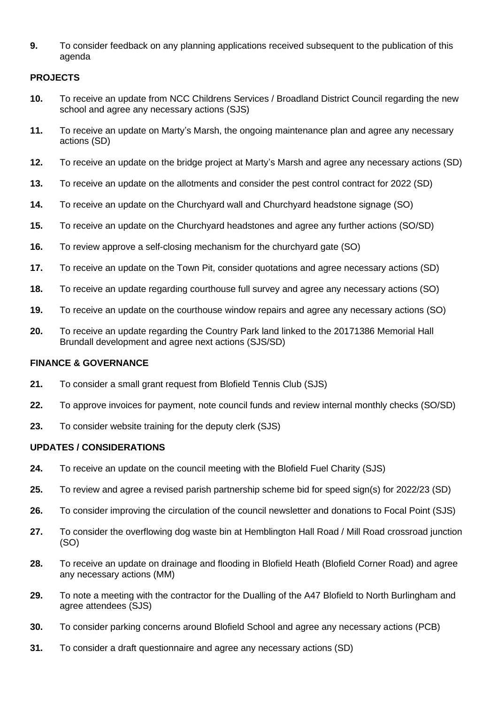**9.** To consider feedback on any planning applications received subsequent to the publication of this agenda

## **PROJECTS**

- **10.** To receive an update from NCC Childrens Services / Broadland District Council regarding the new school and agree any necessary actions (SJS)
- **11.** To receive an update on Marty's Marsh, the ongoing maintenance plan and agree any necessary actions (SD)
- **12.** To receive an update on the bridge project at Marty's Marsh and agree any necessary actions (SD)
- **13.** To receive an update on the allotments and consider the pest control contract for 2022 (SD)
- **14.** To receive an update on the Churchyard wall and Churchyard headstone signage (SO)
- **15.** To receive an update on the Churchyard headstones and agree any further actions (SO/SD)
- **16.** To review approve a self-closing mechanism for the churchyard gate (SO)
- **17.** To receive an update on the Town Pit, consider quotations and agree necessary actions (SD)
- **18.** To receive an update regarding courthouse full survey and agree any necessary actions (SO)
- **19.** To receive an update on the courthouse window repairs and agree any necessary actions (SO)
- **20.** To receive an update regarding the Country Park land linked to the 20171386 Memorial Hall Brundall development and agree next actions (SJS/SD)

### **FINANCE & GOVERNANCE**

- **21.** To consider a small grant request from Blofield Tennis Club (SJS)
- **22.** To approve invoices for payment, note council funds and review internal monthly checks (SO/SD)
- **23.** To consider website training for the deputy clerk (SJS)

### **UPDATES / CONSIDERATIONS**

- **24.** To receive an update on the council meeting with the Blofield Fuel Charity (SJS)
- **25.** To review and agree a revised parish partnership scheme bid for speed sign(s) for 2022/23 (SD)
- **26.** To consider improving the circulation of the council newsletter and donations to Focal Point (SJS)
- **27.** To consider the overflowing dog waste bin at Hemblington Hall Road / Mill Road crossroad junction (SO)
- **28.** To receive an update on drainage and flooding in Blofield Heath (Blofield Corner Road) and agree any necessary actions (MM)
- **29.** To note a meeting with the contractor for the Dualling of the A47 Blofield to North Burlingham and agree attendees (SJS)
- **30.** To consider parking concerns around Blofield School and agree any necessary actions (PCB)
- **31.** To consider a draft questionnaire and agree any necessary actions (SD)